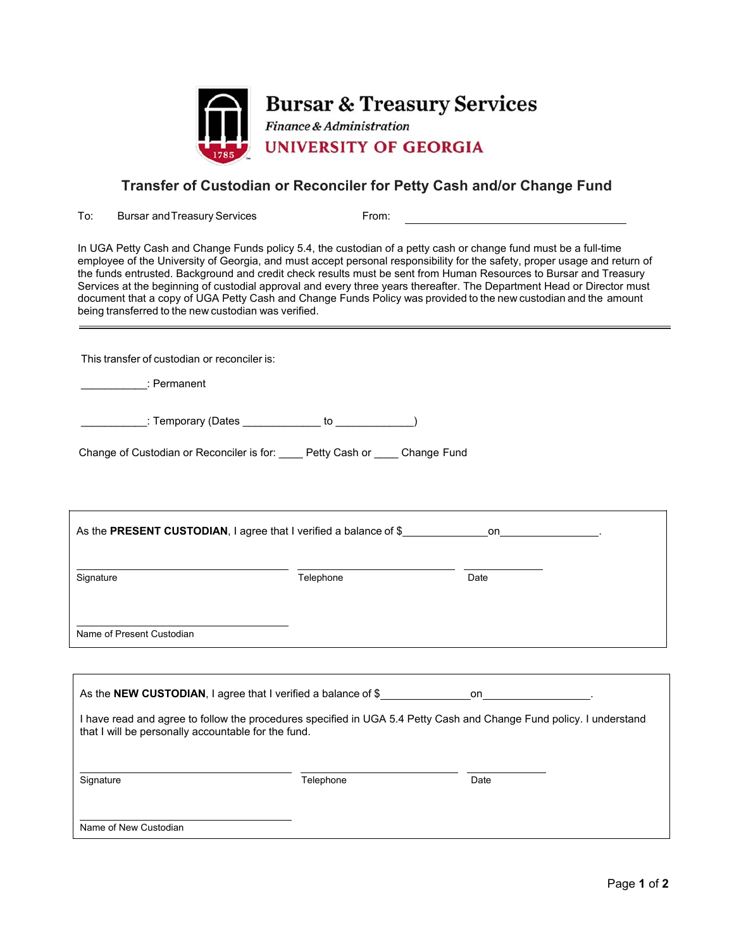

**Bursar & Treasury Services** Finance & Administration **UNIVERSITY OF GEORGIA** 

## **Transfer of Custodian or Reconciler for Petty Cash and/or Change Fund**

To: Bursar and Treasury Services From:

In UGA Petty Cash and Change Funds policy 5.4, the custodian of a petty cash or change fund must be a full-time employee of the University of Georgia, and must accept personal responsibility for the safety, proper usage and return of the funds entrusted. Background and credit check results must be sent from Human Resources to Bursar and Treasury Services at the beginning of custodial approval and every three years thereafter. The Department Head or Director must document that a copy of UGA Petty Cash and Change Funds Policy was provided to the new custodian and the amount being transferred to the new custodian was verified.

This transfer of custodian or reconciler is:

\_\_\_\_\_\_\_\_\_\_\_: Permanent

\_\_\_\_\_\_\_\_\_\_\_\_: Temporary (Dates \_\_\_\_\_\_\_\_\_\_\_\_\_\_ to \_\_\_\_\_\_\_\_\_\_\_\_\_)

| Change of Custodian or Reconciler is for: | Petty Cash or | Change Fund |
|-------------------------------------------|---------------|-------------|
|                                           |               |             |

| As the PRESENT CUSTODIAN, I agree that I verified a balance of \$ |           | on the contract of the contract of the contract of the contract of the contract of the contract of the contract of the contract of the contract of the contract of the contract of the contract of the contract of the contrac |
|-------------------------------------------------------------------|-----------|--------------------------------------------------------------------------------------------------------------------------------------------------------------------------------------------------------------------------------|
| Signature                                                         | Telephone | Date                                                                                                                                                                                                                           |
| Name of Present Custodian                                         |           |                                                                                                                                                                                                                                |
|                                                                   |           |                                                                                                                                                                                                                                |
|                                                                   |           |                                                                                                                                                                                                                                |
| that I will be personally accountable for the fund.               |           | I have read and agree to follow the procedures specified in UGA 5.4 Petty Cash and Change Fund policy. I understand                                                                                                            |
| Signature                                                         | Telephone | Date                                                                                                                                                                                                                           |
|                                                                   |           |                                                                                                                                                                                                                                |

Name of New Custodian